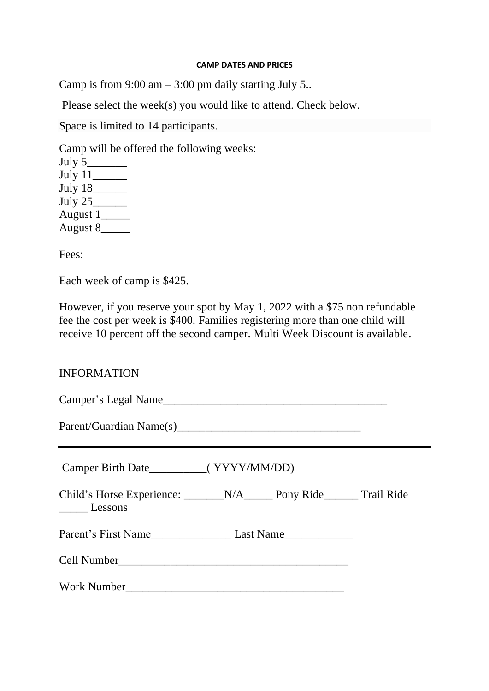## **CAMP DATES AND PRICES**

Camp is from 9:00 am  $-$  3:00 pm daily starting July 5..

Please select the week(s) you would like to attend. Check below.

Space is limited to 14 participants.

Camp will be offered the following weeks:

| July 5    |  |
|-----------|--|
| July 11   |  |
| July 18   |  |
| July $25$ |  |
| August 1  |  |
| August 8  |  |

Fees:

Each week of camp is \$425.

However, if you reserve your spot by May 1, 2022 with a \$75 non refundable fee the cost per week is \$400. Families registering more than one child will receive 10 percent off the second camper. Multi Week Discount is available.

## INFORMATION

| Camper Birth Date____________(YYYY/MM/DD)                                                                        |  |  |
|------------------------------------------------------------------------------------------------------------------|--|--|
| $\frac{1}{2}$ Lessons                                                                                            |  |  |
| Parent's First Name______________________________Last Name______________________                                 |  |  |
|                                                                                                                  |  |  |
| Work Number 2008 - 2008 - 2010 - 2010 - 2010 - 2010 - 2010 - 2010 - 2010 - 2010 - 2010 - 2010 - 2010 - 2010 - 20 |  |  |